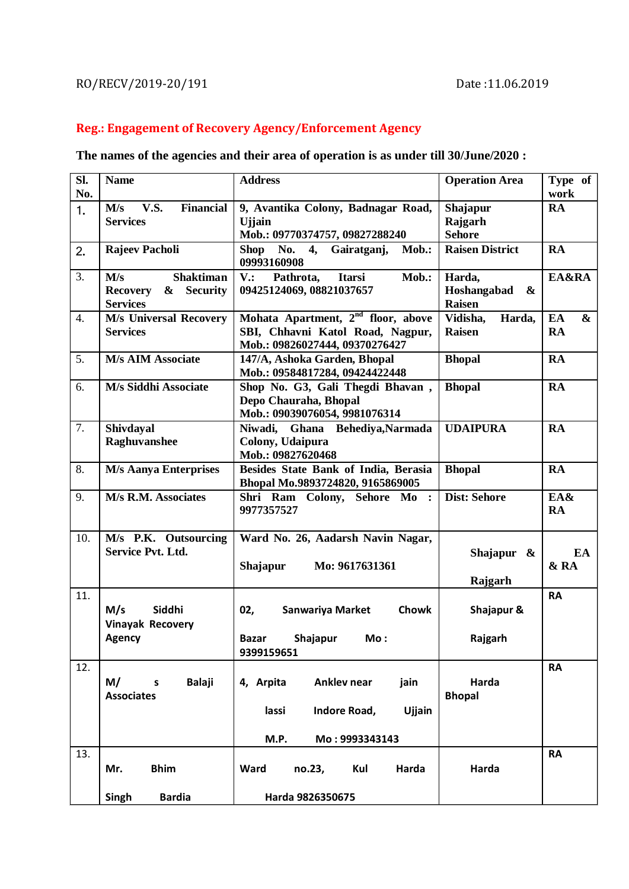## RO/RECV/2019-20/191 Date:11.06.2019

## **Reg.: Engagement of Recovery Agency/Enforcement Agency**

## **The names of the agencies and their area of operation is as under till 30/June/2020 :**

| Sl.<br>No.       | <b>Name</b>                                                                           | <b>Address</b>                                                                                                       | <b>Operation Area</b>                                           | Type of<br>work                      |
|------------------|---------------------------------------------------------------------------------------|----------------------------------------------------------------------------------------------------------------------|-----------------------------------------------------------------|--------------------------------------|
| 1.               | <b>V.S.</b><br><b>Financial</b><br>M/s<br><b>Services</b>                             | 9, Avantika Colony, Badnagar Road,<br><b>U</b> jain<br>Mob.: 09770374757, 09827288240                                | Shajapur<br>Rajgarh<br><b>Sehore</b>                            | <b>RA</b>                            |
| 2.               | Rajeev Pacholi                                                                        | Shop No. $4$ ,<br>Gairatganj,<br>Mob.:<br>09993160908                                                                | <b>Raisen District</b>                                          | <b>RA</b>                            |
| 3.               | <b>Shaktiman</b><br>M/s<br><b>Security</b><br><b>Recovery</b><br>&<br><b>Services</b> | <b>Itarsi</b><br>Mob.:<br>$V$ .:<br>Pathrota,<br>09425124069, 08821037657                                            | Harda,<br>Hoshangabad<br>$\boldsymbol{\alpha}$<br><b>Raisen</b> | EA&RA                                |
| $\overline{4}$ . | <b>M/s Universal Recovery</b><br><b>Services</b>                                      | Mohata Apartment, 2 <sup>nd</sup> floor, above<br>SBI, Chhavni Katol Road, Nagpur,<br>Mob.: 09826027444, 09370276427 | Vidisha,<br>Harda,<br>Raisen                                    | EA<br>$\boldsymbol{\&}$<br><b>RA</b> |
| 5.               | <b>M/s AIM Associate</b>                                                              | 147/A, Ashoka Garden, Bhopal<br>Mob.: 09584817284, 09424422448                                                       | <b>Bhopal</b>                                                   | <b>RA</b>                            |
| 6.               | M/s Siddhi Associate                                                                  | Shop No. G3, Gali Thegdi Bhavan,<br>Depo Chauraha, Bhopal<br>Mob.: 09039076054, 9981076314                           | <b>Bhopal</b>                                                   | RA                                   |
| 7.               | Shivdayal<br>Raghuvanshee                                                             | Niwadi, Ghana Behediya, Narmada<br>Colony, Udaipura<br>Mob.: 09827620468                                             | <b>UDAIPURA</b>                                                 | <b>RA</b>                            |
| 8.               | <b>M/s Aanya Enterprises</b>                                                          | Besides State Bank of India, Berasia<br>Bhopal Mo.9893724820, 9165869005                                             | <b>Bhopal</b>                                                   | <b>RA</b>                            |
| 9.               | M/s R.M. Associates                                                                   | Shri Ram Colony, Sehore Mo:<br>9977357527                                                                            | <b>Dist: Sehore</b>                                             | EA&<br><b>RA</b>                     |
| 10.              | M/s P.K. Outsourcing<br><b>Service Pvt. Ltd.</b>                                      | Ward No. 26, Aadarsh Navin Nagar,<br>Mo: 9617631361<br>Shajapur                                                      | Shajapur $\&$<br>Rajgarh                                        | EA<br>& RA                           |
| 11.              | M/s<br>Siddhi<br><b>Vinayak Recovery</b><br>Agency                                    | 02,<br><b>Chowk</b><br>Sanwariya Market<br>Shajapur<br>Mo:<br><b>Bazar</b>                                           | Shajapur &<br>Rajgarh                                           | <b>RA</b>                            |
|                  |                                                                                       | 9399159651                                                                                                           |                                                                 |                                      |
| 12.              | M/<br><b>Balaji</b><br>S<br><b>Associates</b>                                         | 4, Arpita<br>Anklev near<br>jain<br>Indore Road,<br>lassi<br>Ujjain                                                  | Harda<br><b>Bhopal</b>                                          | <b>RA</b>                            |
|                  |                                                                                       | M.P.<br>Mo: 9993343143                                                                                               |                                                                 |                                      |
| 13.              | <b>Bhim</b><br>Mr.                                                                    | Harda<br>Ward<br>no.23,<br>Kul                                                                                       | Harda                                                           | <b>RA</b>                            |
|                  | <b>Bardia</b><br>Singh                                                                | Harda 9826350675                                                                                                     |                                                                 |                                      |